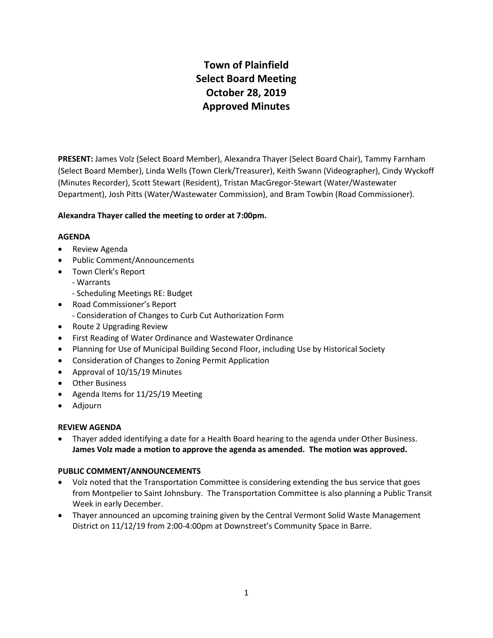# **Town of Plainfield Select Board Meeting October 28, 2019 Approved Minutes**

**PRESENT:** James Volz (Select Board Member), Alexandra Thayer (Select Board Chair), Tammy Farnham (Select Board Member), Linda Wells (Town Clerk/Treasurer), Keith Swann (Videographer), Cindy Wyckoff (Minutes Recorder), Scott Stewart (Resident), Tristan MacGregor-Stewart (Water/Wastewater Department), Josh Pitts (Water/Wastewater Commission), and Bram Towbin (Road Commissioner).

# **Alexandra Thayer called the meeting to order at 7:00pm.**

#### **AGENDA**

- Review Agenda
- Public Comment/Announcements
- Town Clerk's Report
	- Warrants
	- Scheduling Meetings RE: Budget
- Road Commissioner's Report
	- Consideration of Changes to Curb Cut Authorization Form
- Route 2 Upgrading Review
- First Reading of Water Ordinance and Wastewater Ordinance
- Planning for Use of Municipal Building Second Floor, including Use by Historical Society
- Consideration of Changes to Zoning Permit Application
- Approval of 10/15/19 Minutes
- Other Business
- Agenda Items for 11/25/19 Meeting
- Adjourn

#### **REVIEW AGENDA**

 Thayer added identifying a date for a Health Board hearing to the agenda under Other Business. **James Volz made a motion to approve the agenda as amended. The motion was approved.**

#### **PUBLIC COMMENT/ANNOUNCEMENTS**

- Volz noted that the Transportation Committee is considering extending the bus service that goes from Montpelier to Saint Johnsbury. The Transportation Committee is also planning a Public Transit Week in early December.
- Thayer announced an upcoming training given by the Central Vermont Solid Waste Management District on 11/12/19 from 2:00-4:00pm at Downstreet's Community Space in Barre.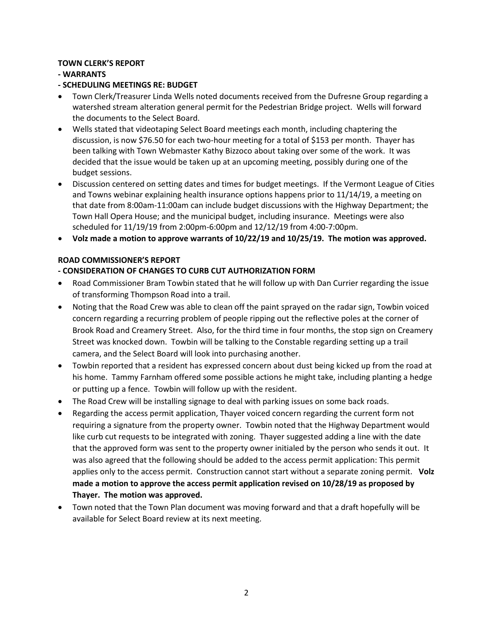# **TOWN CLERK'S REPORT**

# **- WARRANTS**

# **- SCHEDULING MEETINGS RE: BUDGET**

- Town Clerk/Treasurer Linda Wells noted documents received from the Dufresne Group regarding a watershed stream alteration general permit for the Pedestrian Bridge project. Wells will forward the documents to the Select Board.
- Wells stated that videotaping Select Board meetings each month, including chaptering the discussion, is now \$76.50 for each two-hour meeting for a total of \$153 per month. Thayer has been talking with Town Webmaster Kathy Bizzoco about taking over some of the work. It was decided that the issue would be taken up at an upcoming meeting, possibly during one of the budget sessions.
- Discussion centered on setting dates and times for budget meetings. If the Vermont League of Cities and Towns webinar explaining health insurance options happens prior to 11/14/19, a meeting on that date from 8:00am-11:00am can include budget discussions with the Highway Department; the Town Hall Opera House; and the municipal budget, including insurance. Meetings were also scheduled for 11/19/19 from 2:00pm-6:00pm and 12/12/19 from 4:00-7:00pm.
- **Volz made a motion to approve warrants of 10/22/19 and 10/25/19. The motion was approved.**

#### **ROAD COMMISSIONER'S REPORT**

# **- CONSIDERATION OF CHANGES TO CURB CUT AUTHORIZATION FORM**

- Road Commissioner Bram Towbin stated that he will follow up with Dan Currier regarding the issue of transforming Thompson Road into a trail.
- Noting that the Road Crew was able to clean off the paint sprayed on the radar sign, Towbin voiced concern regarding a recurring problem of people ripping out the reflective poles at the corner of Brook Road and Creamery Street. Also, for the third time in four months, the stop sign on Creamery Street was knocked down. Towbin will be talking to the Constable regarding setting up a trail camera, and the Select Board will look into purchasing another.
- Towbin reported that a resident has expressed concern about dust being kicked up from the road at his home. Tammy Farnham offered some possible actions he might take, including planting a hedge or putting up a fence. Towbin will follow up with the resident.
- The Road Crew will be installing signage to deal with parking issues on some back roads.
- Regarding the access permit application, Thayer voiced concern regarding the current form not requiring a signature from the property owner. Towbin noted that the Highway Department would like curb cut requests to be integrated with zoning. Thayer suggested adding a line with the date that the approved form was sent to the property owner initialed by the person who sends it out. It was also agreed that the following should be added to the access permit application: This permit applies only to the access permit. Construction cannot start without a separate zoning permit. **Volz made a motion to approve the access permit application revised on 10/28/19 as proposed by Thayer. The motion was approved.**
- Town noted that the Town Plan document was moving forward and that a draft hopefully will be available for Select Board review at its next meeting.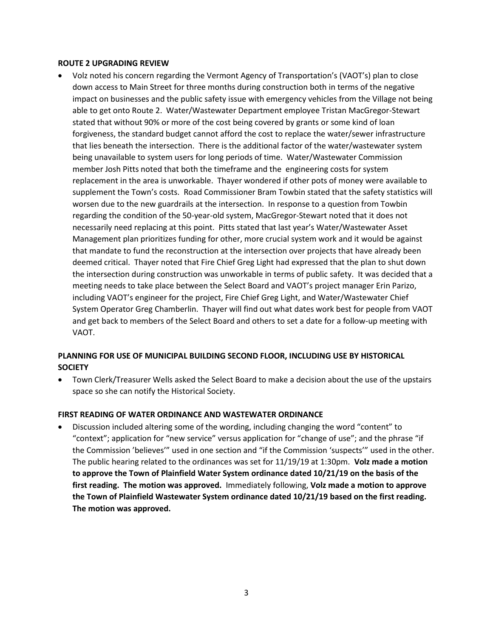#### **ROUTE 2 UPGRADING REVIEW**

 Volz noted his concern regarding the Vermont Agency of Transportation's (VAOT's) plan to close down access to Main Street for three months during construction both in terms of the negative impact on businesses and the public safety issue with emergency vehicles from the Village not being able to get onto Route 2. Water/Wastewater Department employee Tristan MacGregor-Stewart stated that without 90% or more of the cost being covered by grants or some kind of loan forgiveness, the standard budget cannot afford the cost to replace the water/sewer infrastructure that lies beneath the intersection. There is the additional factor of the water/wastewater system being unavailable to system users for long periods of time. Water/Wastewater Commission member Josh Pitts noted that both the timeframe and the engineering costs for system replacement in the area is unworkable. Thayer wondered if other pots of money were available to supplement the Town's costs. Road Commissioner Bram Towbin stated that the safety statistics will worsen due to the new guardrails at the intersection. In response to a question from Towbin regarding the condition of the 50-year-old system, MacGregor-Stewart noted that it does not necessarily need replacing at this point. Pitts stated that last year's Water/Wastewater Asset Management plan prioritizes funding for other, more crucial system work and it would be against that mandate to fund the reconstruction at the intersection over projects that have already been deemed critical. Thayer noted that Fire Chief Greg Light had expressed that the plan to shut down the intersection during construction was unworkable in terms of public safety. It was decided that a meeting needs to take place between the Select Board and VAOT's project manager Erin Parizo, including VAOT's engineer for the project, Fire Chief Greg Light, and Water/Wastewater Chief System Operator Greg Chamberlin. Thayer will find out what dates work best for people from VAOT and get back to members of the Select Board and others to set a date for a follow-up meeting with VAOT.

# **PLANNING FOR USE OF MUNICIPAL BUILDING SECOND FLOOR, INCLUDING USE BY HISTORICAL SOCIETY**

 Town Clerk/Treasurer Wells asked the Select Board to make a decision about the use of the upstairs space so she can notify the Historical Society.

#### **FIRST READING OF WATER ORDINANCE AND WASTEWATER ORDINANCE**

 Discussion included altering some of the wording, including changing the word "content" to "context"; application for "new service" versus application for "change of use"; and the phrase "if the Commission 'believes'" used in one section and "if the Commission 'suspects'" used in the other. The public hearing related to the ordinances was set for 11/19/19 at 1:30pm. **Volz made a motion to approve the Town of Plainfield Water System ordinance dated 10/21/19 on the basis of the first reading. The motion was approved.** Immediately following, **Volz made a motion to approve the Town of Plainfield Wastewater System ordinance dated 10/21/19 based on the first reading. The motion was approved.**